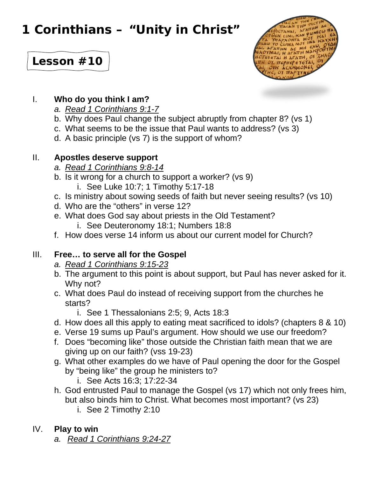# **1 Corinthians – "Unity in Christ"**



# **Lesson #10**

#### I. **Who do you think I am?**

- *a. Read 1 Corinthians 9:1-7*
- b. Why does Paul change the subject abruptly from chapter 8? (vs 1)
- c. What seems to be the issue that Paul wants to address? (vs 3)
- d. A basic principle (vs 7) is the support of whom?

#### II. **Apostles deserve support**

- *a. Read 1 Corinthians 9:8-14*
- b. Is it wrong for a church to support a worker? (vs 9)
	- i. See Luke 10:7; 1 Timothy 5:17-18
- c. Is ministry about sowing seeds of faith but never seeing results? (vs 10)
- d. Who are the "others" in verse 12?
- e. What does God say about priests in the Old Testament?
	- i. See Deuteronomy 18:1; Numbers 18:8
- f. How does verse 14 inform us about our current model for Church?

# III. **Free… to serve all for the Gospel**

- *a. Read 1 Corinthians 9:15-23*
- b. The argument to this point is about support, but Paul has never asked for it. Why not?
- c. What does Paul do instead of receiving support from the churches he starts?
	- i. See 1 Thessalonians 2:5; 9, Acts 18:3
- d. How does all this apply to eating meat sacrificed to idols? (chapters 8 & 10)
- e. Verse 19 sums up Paul's argument. How should we use our freedom?
- f. Does "becoming like" those outside the Christian faith mean that we are giving up on our faith? (vss 19-23)
- g. What other examples do we have of Paul opening the door for the Gospel by "being like" the group he ministers to?
	- i. See Acts 16:3; 17:22-34
- h. God entrusted Paul to manage the Gospel (vs 17) which not only frees him, but also binds him to Christ. What becomes most important? (vs 23)
	- i. See 2 Timothy 2:10

# IV. **Play to win**

*a. Read 1 Corinthians 9:24-27*